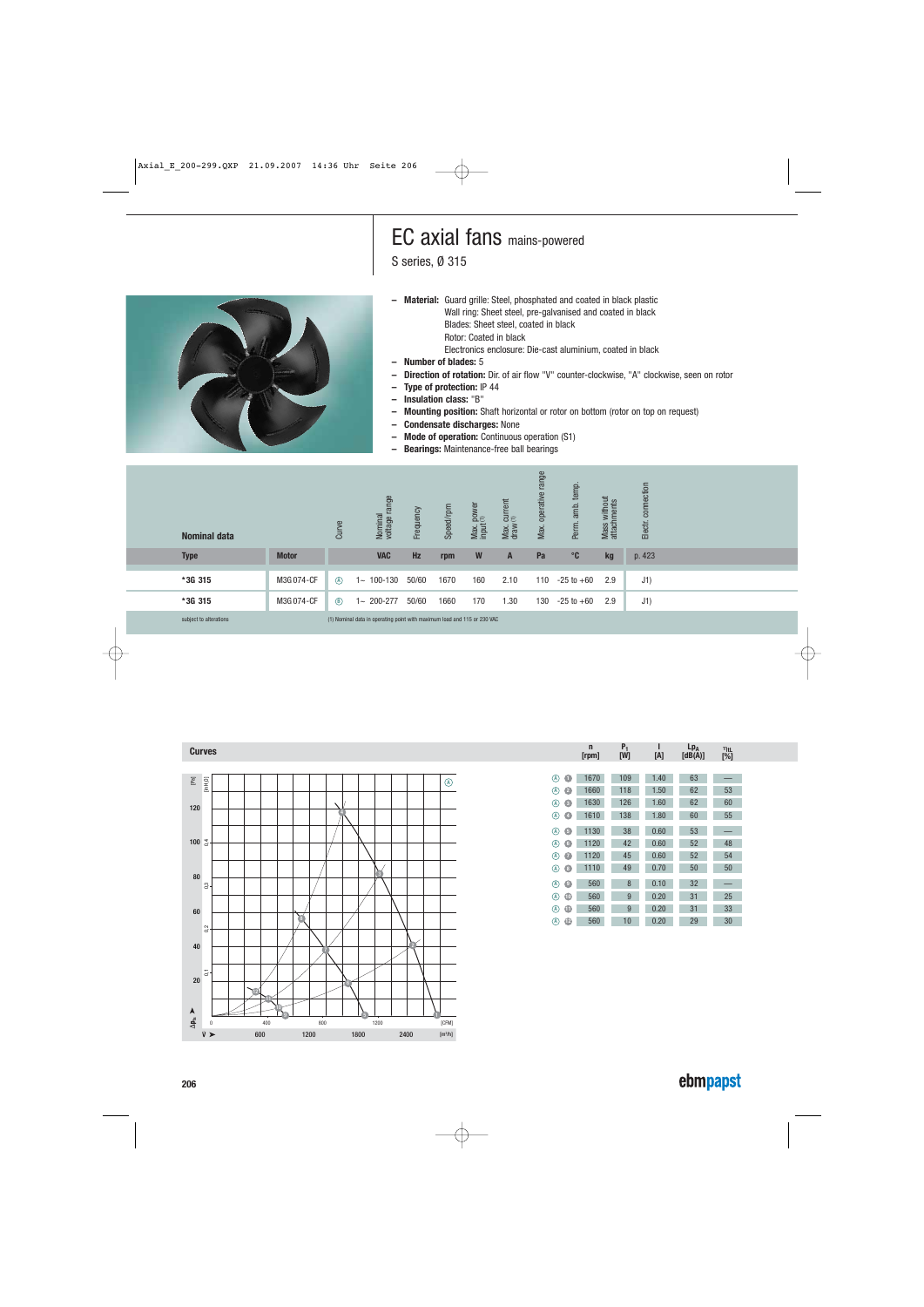## EC axial fans mains-powered

S series, Ø 315



**– Material:** Guard grille: Steel, phosphated and coated in black plastic Wall ring: Sheet steel, pre-galvanised and coated in black Blades: Sheet steel, coated in black Rotor: Coated in black

Electronics enclosure: Die-cast aluminium, coated in black

- **Number of blades:** 5
- **Direction of rotation:** Dir. of air flow "V" counter-clockwise, "A" clockwise, seen on rotor
- **Type of protection:** IP 44
- **Insulation class:** "B"
- **Mounting position:** Shaft horizontal or rotor on bottom (rotor on top on request)
- **Condensate discharges:** None
- **Mode of operation:** Continuous operation (S1)
- **Bearings:** Maintenance-free ball bearings

| <b>Nominal data</b>    |              | Curve       | range<br>Nominal<br>voltage r                                            | Frequency | Speed/rpm | Max. power<br>input(1) | $\frac{current}{(1)}$<br>Max.<br>draw | range<br>operative<br>Max. | temp.<br>amb.<br>Perm. | Mass without<br>attachments | connection<br>Electr. |  |  |
|------------------------|--------------|-------------|--------------------------------------------------------------------------|-----------|-----------|------------------------|---------------------------------------|----------------------------|------------------------|-----------------------------|-----------------------|--|--|
| <b>Type</b>            | <b>Motor</b> |             | <b>VAC</b>                                                               | Hz        | rpm       | W                      | A                                     | Pa                         | $^{\circ}$ C           | kg                          | p. 423                |  |  |
| *3G 315                | M3G074-CF    | $\circledR$ | $1 - 100 - 130$                                                          | 50/60     | 1670      | 160                    | 2.10                                  | 110                        | $-25$ to $+60$         | 2.9                         | J1)                   |  |  |
|                        |              |             |                                                                          |           |           |                        |                                       |                            |                        |                             |                       |  |  |
| *3G 315                | M3G 074-CF   | $\circledR$ | 200-277<br>1∼                                                            | 50/60     | 1660      | 170                    | 1.30                                  | 130                        | $-25$ to $+60$         | 2.9                         | J1)                   |  |  |
| subject to alterations |              |             | (1) Nominal data in operating point with maximum load and 115 or 230 VAC |           |           |                        |                                       |                            |                        |                             |                       |  |  |



|                  | $\mathsf{r}$<br>[ <i>rpm</i> ] | P,<br>[W] | [A]  | $Lp_A$<br>[dB(A)] | $\eta_{\text{tl}}$<br>[%] |
|------------------|--------------------------------|-----------|------|-------------------|---------------------------|
|                  |                                |           |      |                   |                           |
| O<br>(A)         | 1670                           | 109       | 1.40 | 63                |                           |
| Ø<br>A)          | 1660                           | 118       | 1.50 | 62                | 53                        |
| $\bullet$<br>(A) | 1630                           | 126       | 1.60 | 62                | 60                        |
| ۵<br>(A)         | 1610                           | 138       | 1.80 | 60                | 55                        |
| $\bullet$<br>(A) | 1130                           | 38        | 0.60 | 53                |                           |
| G<br>O)          | 1120                           | 42        | 0.60 | 52                | 48                        |
| (A)<br>Ø         | 1120                           | 45        | 0.60 | 52                | 54                        |
| O<br>(A)         | 1110                           | 49        | 0.70 | 50                | 50                        |
| $\bullet$<br>A)  | 560                            | 8         | 0.10 | 32                |                           |
| $\bullet$<br>(A) | 560                            | 9         | 0.20 | 31                | 25                        |
| $\bf \Phi$<br>A) | 560                            | 9         | 0.20 | 31                | 33                        |
| $^{\circ}$<br>A  | 560                            | 10        | 0.20 | 29                | 30                        |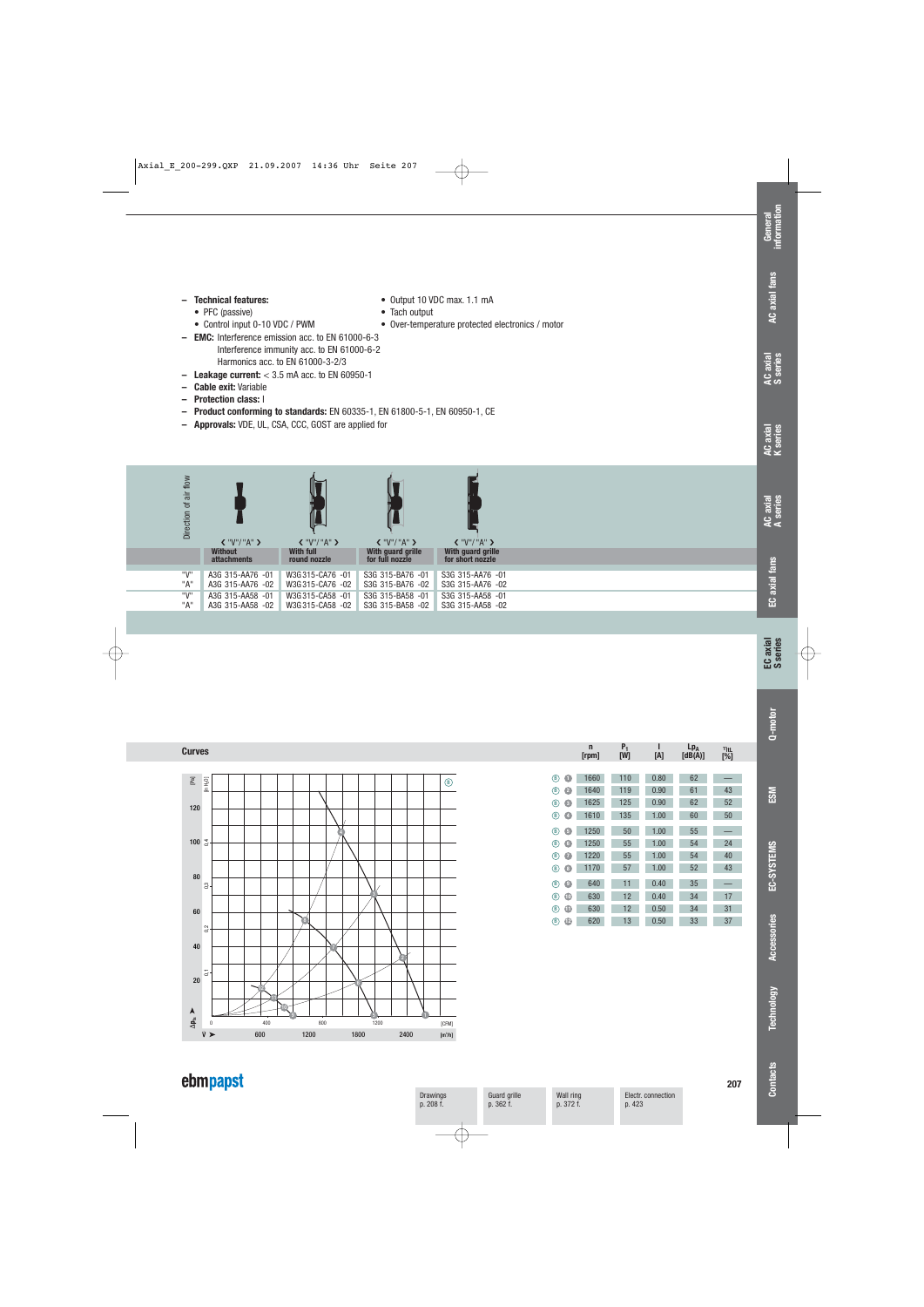#### **– Technical features:** • Output 10 VDC max. 1.1 mA

- 
- PFC (passive) Tach output
- **EMC:** Interference emission acc. to EN 61000-6-3

Interference immunity acc. to EN 61000-6-2 Harmonics acc. to EN 61000-3-2/3

- **Leakage current:** < 3.5 mA acc. to EN 60950-1
- **Cable exit:** Variable
- **Protection class:** I
- **Product conforming to standards:** EN 60335-1, EN 61800-5-1, EN 60950-1, CE
- **Approvals:** VDE, UL, CSA, CCC, GOST are applied for



• Over-temperature protected electronics / motor



|                         | $\mathsf{r}$<br>[rpm] | P,<br>[W] | [A]  | $Lp_A$<br>[dB(A)] | $\eta_{\text{tL}}$<br>[%] |
|-------------------------|-----------------------|-----------|------|-------------------|---------------------------|
|                         |                       |           |      |                   |                           |
| $\circledast$<br>O      | 1660                  | 110       | 0.80 | 62                |                           |
| Ø<br>$\circledast$      | 1640                  | 119       | 0.90 | 61                | 43                        |
| G<br>(B)                | 1625                  | 125       | 0.90 | 62                | 52                        |
| (B)<br>O                | 1610                  | 135       | 1.00 | 60                | 50                        |
| 0<br>(B)                | 1250                  | 50        | 1.00 | 55                |                           |
| G<br>$\hat{\mathbf{B}}$ | 1250                  | 55        | 1.00 | 54                | 24                        |
| (B)<br>$\bullet$        | 1220                  | 55        | 1.00 | 54                | 40                        |
| ®)<br>O                 | 1170                  | 57        | 1.00 | 52                | 43                        |
| O<br>®)                 | 640                   | 11        | 0.40 | 35                |                           |
| $\bullet$<br>®          | 630                   | 12        | 0.40 | 34                | 17                        |
| ⊕<br>(B)                | 630                   | 12        | 0.50 | 34                | 31                        |
| ℗<br>®)                 | 620                   | 13        | 0.50 | 33                | 37                        |

## ebmpapst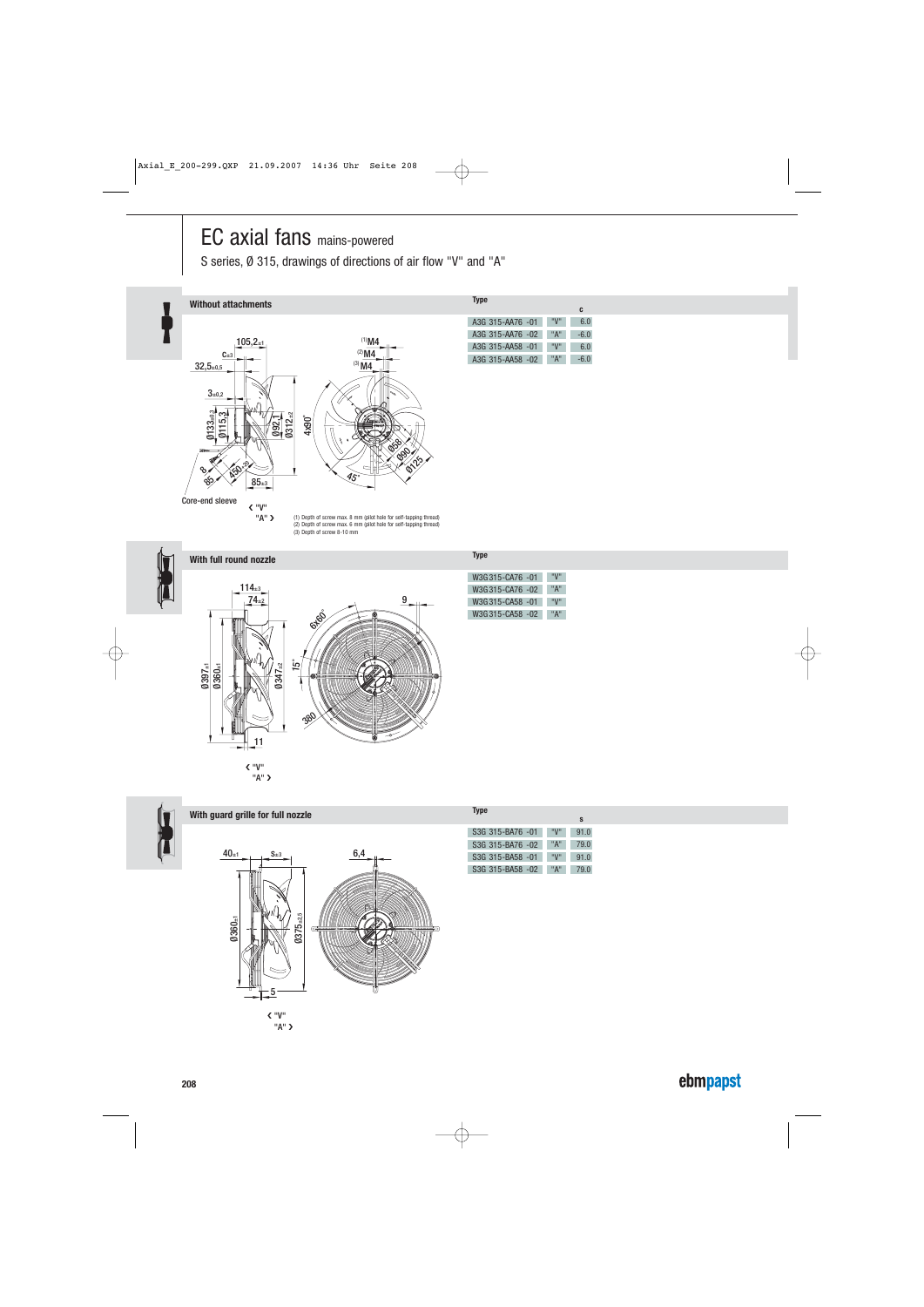# EC axial fans mains-powered

S series, Ø 315, drawings of directions of air flow "V" and "A"



"A" ❯ (1) Depth of screw max. 8 mm (pilot hole for self-tapping thread) (2) Depth of screw max. 6 mm (pilot hole for self-tapping thread) (3) Depth of screw 8-10 mm





**With full round nozzle Type** 

"A" ❯



#### **With guard grille for full nozzle Type**



❮ "V" "A" ❯

|                               |     | S    |
|-------------------------------|-----|------|
| S3G 315-BA76 -01              | "V" | 91.0 |
| S3G 315-BA76 -02              | "A" | 79.0 |
| S <sub>3</sub> G 315-BA58 -01 | "V" | 91.0 |
| S <sub>3</sub> G 315-BA58 -02 | "A" | 79.0 |

## W3G 315-CA76 -01 "V"

| W3G315-CA76 -02 | "A" |
|-----------------|-----|
| W3G315-CA58 -01 | "V" |
| W3G315-CA58 -02 | "A" |
|                 |     |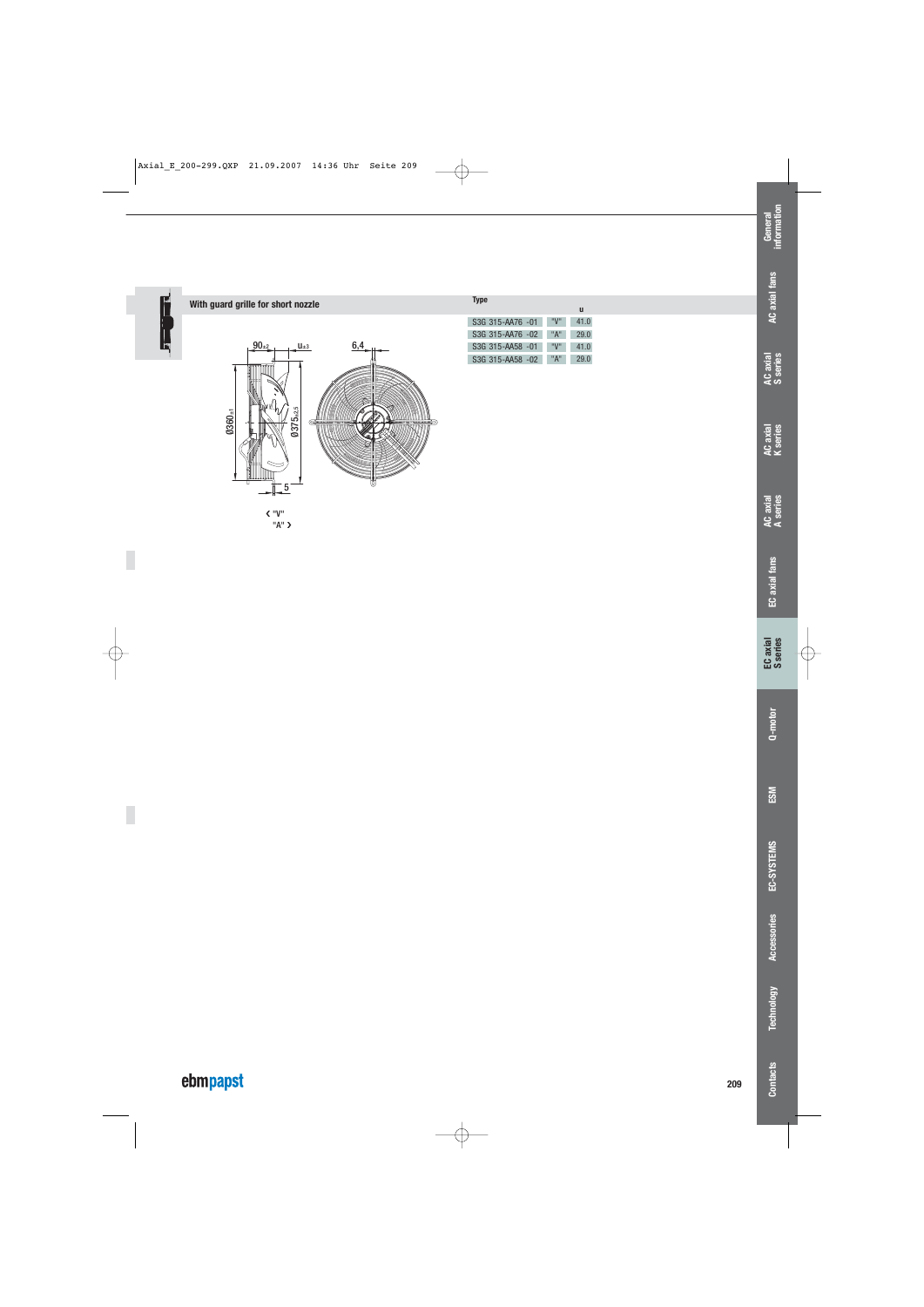

### **With guard grille for short nozzle Type**



| S3G 315-AA76 -01 | "V" | 41.0 |
|------------------|-----|------|
| S3G 315-AA76 -02 | "A" | 29.0 |
| S3G 315-AA58 -01 | "V" | 41.0 |
| S3G 315-AA58 -02 | "A" | 29.0 |

**u**

ebmpapst